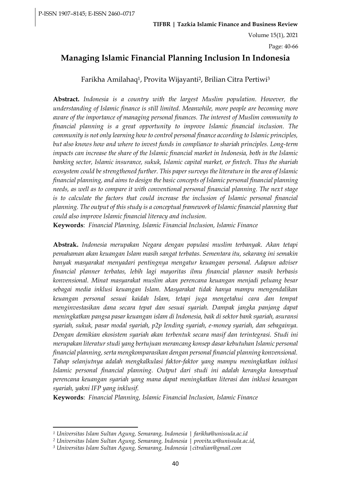Page: 40-66

## **Managing Islamic Financial Planning Inclusion In Indonesia**

Farikha Amilahaq1, Provita Wijayanti2, Brilian Citra Pertiwi<sup>3</sup>

**Abstract.** *Indonesia is a country with the largest Muslim population. However, the understanding of Islamic finance is still limited. Meanwhile, more people are becoming more aware of the importance of managing personal finances. The interest of Muslim community to financial planning is a great opportunity to improve Islamic financial inclusion. The community is not only learning how to control personal finance according to Islamic principles, but also knows how and where to invest funds in compliance to shariah principles. Long-term impacts can increase the share of the Islamic financial market in Indonesia, both in the Islamic banking sector, Islamic insurance, sukuk, Islamic capital market, or fintech. Thus the shariah ecosystem could be strengthened further. This paper surveys the literature in the area of Islamic financial planning, and aims to design the basic concepts of Islamic personal financial planning needs, as well as to compare it with conventional personal financial planning. The next stage is to calculate the factors that could increase the inclusion of Islamic personal financial planning. The output of this study is a conceptual framework of Islamic financial planning that could also improve Islamic financial literacy and inclusion.*

**Keywords**: *Financial Planning, Islamic Financial Inclusion, Islamic Finance*

**Abstrak.** *Indonesia merupakan Negara dengan populasi muslim terbanyak. Akan tetapi pemahaman akan keuangan Islam masih sangat terbatas. Sementara itu, sekarang ini semakin banyak masyarakat menyadari pentingnya mengatur keuangan personal. Adapun adviser financial planner terbatas, lebih lagi mayoritas ilmu financial planner masih berbasis konvensional. Minat masyarakat muslim akan perencana keuangan menjadi peluang besar sebagai media inklusi keuangan Islam. Masyarakat tidak hanya mampu mengendalikan keuangan personal sesuai kaidah Islam, tetapi juga mengetahui cara dan tempat menginvestasikan dana secara tepat dan sesuai syariah. Dampak jangka panjang dapat meningkatkan pangsa pasar keuangan islam di Indonesia, baik di sektor bank syariah, asuransi syariah, sukuk, pasar modal syariah, p2p lending syariah, e-money syariah, dan sebagainya. Dengan demikian ekosistem syariah akan terbentuk secara masif dan terintegrasi. Studi ini merupakan literatur studi yang bertujuan merancang konsep dasar kebutuhan Islamic personal financial planning, serta mengkomparasikan dengan personal financial planning konvensional. Tahap selanjutnya adalah mengkalkulasi faktor-faktor yang mampu meningkatkan inklusi Islamic personal financial planning. Output dari studi ini adalah kerangka konseptual perencana keuangan syariah yang mana dapat meningkatkan literasi dan inklusi keuangan syariah, yakni IFP yang inklusif.*

**Keywords**: *Financial Planning, Islamic Financial Inclusion, Islamic Finance*

*<sup>1</sup> Universitas Islam Sultan Agung, Semarang, Indonesia | farikha@unissula.ac.id*

*<sup>2</sup> Universitas Islam Sultan Agung, Semarang, Indonesia | provita.w@unissula.ac.id,*

*<sup>3</sup> Universitas Islam Sultan Agung, Semarang, Indonesia |citralian@gmail.com*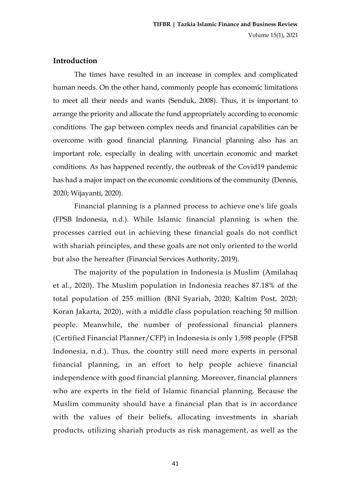## **Introduction**

The times have resulted in an increase in complex and complicated human needs. On the other hand, commonly people has economic limitations to meet all their needs and wants (Senduk, 2008). Thus, it is important to arrange the priority and allocate the fund appropriately according to economic conditions. The gap between complex needs and financial capabilities can be overcome with good financial planning. Financial planning also has an important role, especially in dealing with uncertain economic and market conditions. As has happened recently, the outbreak of the Covid19 pandemic has had a major impact on the economic conditions of the community (Dennis, 2020; Wijayanti, 2020).

Financial planning is a planned process to achieve one's life goals (FPSB Indonesia, n.d.). While Islamic financial planning is when the processes carried out in achieving these financial goals do not conflict with shariah principles, and these goals are not only oriented to the world but also the hereafter (Financial Services Authority, 2019).

The majority of the population in Indonesia is Muslim (Amilahaq et al., 2020). The Muslim population in Indonesia reaches 87.18% of the total population of 255 million (BNI Syariah, 2020; Kaltim Post, 2020; Koran Jakarta, 2020), with a middle class population reaching 50 million people. Meanwhile, the number of professional financial planners (Certified Financial Planner/CFP) in Indonesia is only 1,598 people (FPSB Indonesia, n.d.). Thus, the country still need more experts in personal financial planning, in an effort to help people achieve financial independence with good financial planning. Moreover, financial planners who are experts in the field of Islamic financial planning. Because the Muslim community should have a financial plan that is in accordance with the values of their beliefs, allocating investments in shariah products, utilizing shariah products as risk management, as well as the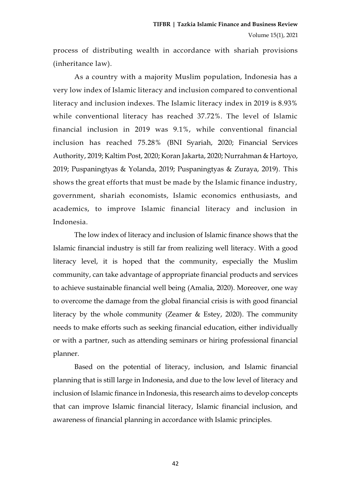process of distributing wealth in accordance with shariah provisions (inheritance law).

As a country with a majority Muslim population, Indonesia has a very low index of Islamic literacy and inclusion compared to conventional literacy and inclusion indexes. The Islamic literacy index in 2019 is 8.93% while conventional literacy has reached 37.72%. The level of Islamic financial inclusion in 2019 was 9.1%, while conventional financial inclusion has reached 75.28% (BNI Syariah, 2020; Financial Services Authority, 2019; Kaltim Post, 2020; Koran Jakarta, 2020; Nurrahman & Hartoyo, 2019; Puspaningtyas & Yolanda, 2019; Puspaningtyas & Zuraya, 2019). This shows the great efforts that must be made by the Islamic finance industry, government, shariah economists, Islamic economics enthusiasts, and academics, to improve Islamic financial literacy and inclusion in Indonesia.

The low index of literacy and inclusion of Islamic finance shows that the Islamic financial industry is still far from realizing well literacy. With a good literacy level, it is hoped that the community, especially the Muslim community, can take advantage of appropriate financial products and services to achieve sustainable financial well being (Amalia, 2020). Moreover, one way to overcome the damage from the global financial crisis is with good financial literacy by the whole community (Zeamer & Estey, 2020). The community needs to make efforts such as seeking financial education, either individually or with a partner, such as attending seminars or hiring professional financial planner.

Based on the potential of literacy, inclusion, and Islamic financial planning that is still large in Indonesia, and due to the low level of literacy and inclusion of Islamic finance in Indonesia, this research aims to develop concepts that can improve Islamic financial literacy, Islamic financial inclusion, and awareness of financial planning in accordance with Islamic principles.

42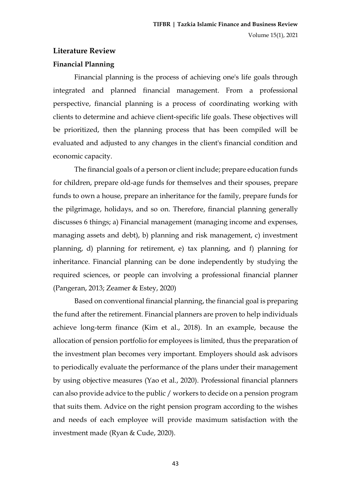## **Literature Review**

## **Financial Planning**

Financial planning is the process of achieving one's life goals through integrated and planned financial management. From a professional perspective, financial planning is a process of coordinating working with clients to determine and achieve client-specific life goals. These objectives will be prioritized, then the planning process that has been compiled will be evaluated and adjusted to any changes in the client's financial condition and economic capacity.

The financial goals of a person or client include; prepare education funds for children, prepare old-age funds for themselves and their spouses, prepare funds to own a house, prepare an inheritance for the family, prepare funds for the pilgrimage, holidays, and so on. Therefore, financial planning generally discusses 6 things; a) Financial management (managing income and expenses, managing assets and debt), b) planning and risk management, c) investment planning, d) planning for retirement, e) tax planning, and f) planning for inheritance. Financial planning can be done independently by studying the required sciences, or people can involving a professional financial planner (Pangeran, 2013; Zeamer & Estey, 2020)

Based on conventional financial planning, the financial goal is preparing the fund after the retirement. Financial planners are proven to help individuals achieve long-term finance (Kim et al., 2018). In an example, because the allocation of pension portfolio for employees is limited, thus the preparation of the investment plan becomes very important. Employers should ask advisors to periodically evaluate the performance of the plans under their management by using objective measures (Yao et al., 2020). Professional financial planners can also provide advice to the public / workers to decide on a pension program that suits them. Advice on the right pension program according to the wishes and needs of each employee will provide maximum satisfaction with the investment made (Ryan & Cude, 2020).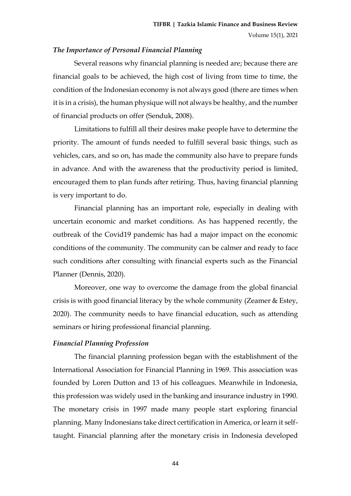### *The Importance of Personal Financial Planning*

Several reasons why financial planning is needed are; because there are financial goals to be achieved, the high cost of living from time to time, the condition of the Indonesian economy is not always good (there are times when it is in a crisis), the human physique will not always be healthy, and the number of financial products on offer (Senduk, 2008).

Limitations to fulfill all their desires make people have to determine the priority. The amount of funds needed to fulfill several basic things, such as vehicles, cars, and so on, has made the community also have to prepare funds in advance. And with the awareness that the productivity period is limited, encouraged them to plan funds after retiring. Thus, having financial planning is very important to do.

Financial planning has an important role, especially in dealing with uncertain economic and market conditions. As has happened recently, the outbreak of the Covid19 pandemic has had a major impact on the economic conditions of the community. The community can be calmer and ready to face such conditions after consulting with financial experts such as the Financial Planner (Dennis, 2020).

Moreover, one way to overcome the damage from the global financial crisis is with good financial literacy by the whole community (Zeamer & Estey, 2020). The community needs to have financial education, such as attending seminars or hiring professional financial planning.

## *Financial Planning Profession*

The financial planning profession began with the establishment of the International Association for Financial Planning in 1969. This association was founded by Loren Dutton and 13 of his colleagues. Meanwhile in Indonesia, this profession was widely used in the banking and insurance industry in 1990. The monetary crisis in 1997 made many people start exploring financial planning. Many Indonesians take direct certification in America, or learn it selftaught. Financial planning after the monetary crisis in Indonesia developed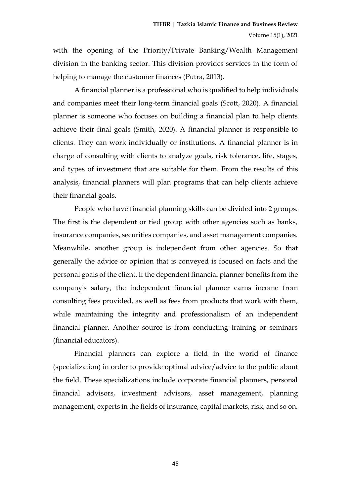with the opening of the Priority/Private Banking/Wealth Management division in the banking sector. This division provides services in the form of helping to manage the customer finances (Putra, 2013).

A financial planner is a professional who is qualified to help individuals and companies meet their long-term financial goals (Scott, 2020). A financial planner is someone who focuses on building a financial plan to help clients achieve their final goals (Smith, 2020). A financial planner is responsible to clients. They can work individually or institutions. A financial planner is in charge of consulting with clients to analyze goals, risk tolerance, life, stages, and types of investment that are suitable for them. From the results of this analysis, financial planners will plan programs that can help clients achieve their financial goals.

People who have financial planning skills can be divided into 2 groups. The first is the dependent or tied group with other agencies such as banks, insurance companies, securities companies, and asset management companies. Meanwhile, another group is independent from other agencies. So that generally the advice or opinion that is conveyed is focused on facts and the personal goals of the client. If the dependent financial planner benefits from the company's salary, the independent financial planner earns income from consulting fees provided, as well as fees from products that work with them, while maintaining the integrity and professionalism of an independent financial planner. Another source is from conducting training or seminars (financial educators).

Financial planners can explore a field in the world of finance (specialization) in order to provide optimal advice/advice to the public about the field. These specializations include corporate financial planners, personal financial advisors, investment advisors, asset management, planning management, experts in the fields of insurance, capital markets, risk, and so on.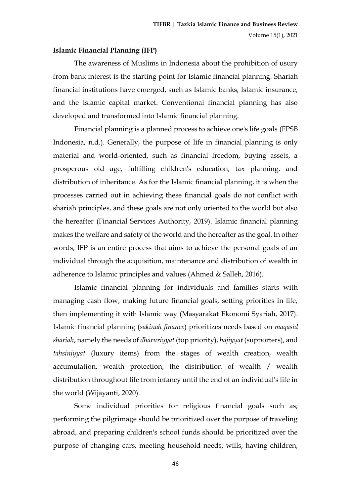#### **Islamic Financial Planning (IFP)**

The awareness of Muslims in Indonesia about the prohibition of usury from bank interest is the starting point for Islamic financial planning. Shariah financial institutions have emerged, such as Islamic banks, Islamic insurance, and the Islamic capital market. Conventional financial planning has also developed and transformed into Islamic financial planning.

Financial planning is a planned process to achieve one's life goals (FPSB Indonesia, n.d.). Generally, the purpose of life in financial planning is only material and world-oriented, such as financial freedom, buying assets, a prosperous old age, fulfilling children's education, tax planning, and distribution of inheritance. As for the Islamic financial planning, it is when the processes carried out in achieving these financial goals do not conflict with shariah principles, and these goals are not only oriented to the world but also the hereafter (Financial Services Authority, 2019). Islamic financial planning makes the welfare and safety of the world and the hereafter as the goal. In other words, IFP is an entire process that aims to achieve the personal goals of an individual through the acquisition, maintenance and distribution of wealth in adherence to Islamic principles and values (Ahmed & Salleh, 2016).

Islamic financial planning for individuals and families starts with managing cash flow, making future financial goals, setting priorities in life, then implementing it with Islamic way (Masyarakat Ekonomi Syariah, 2017). Islamic financial planning (*sakinah finance*) prioritizes needs based on *maqasid shariah*, namely the needs of *dharuriyyat* (top priority), *hajiyyat* (supporters), and *tahsiniyyat* (luxury items) from the stages of wealth creation, wealth accumulation, wealth protection, the distribution of wealth / wealth distribution throughout life from infancy until the end of an individual's life in the world (Wijayanti, 2020).

Some individual priorities for religious financial goals such as; performing the pilgrimage should be prioritized over the purpose of traveling abroad, and preparing children's school funds should be prioritized over the purpose of changing cars, meeting household needs, wills, having children,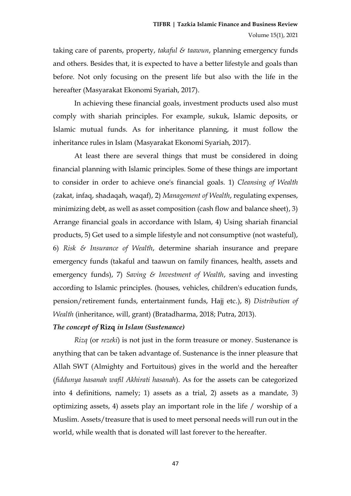taking care of parents, property, *takaful & taawun*, planning emergency funds and others. Besides that, it is expected to have a better lifestyle and goals than before. Not only focusing on the present life but also with the life in the hereafter (Masyarakat Ekonomi Syariah, 2017).

In achieving these financial goals, investment products used also must comply with shariah principles. For example, sukuk, Islamic deposits, or Islamic mutual funds. As for inheritance planning, it must follow the inheritance rules in Islam (Masyarakat Ekonomi Syariah, 2017).

At least there are several things that must be considered in doing financial planning with Islamic principles. Some of these things are important to consider in order to achieve one's financial goals. 1) *Cleansing of Wealth* (zakat, infaq, shadaqah, waqaf), 2) *Management of Wealth*, regulating expenses, minimizing debt, as well as asset composition (cash flow and balance sheet), 3) Arrange financial goals in accordance with Islam, 4) Using shariah financial products, 5) Get used to a simple lifestyle and not consumptive (not wasteful), 6) *Risk & Insurance of Wealth*, determine shariah insurance and prepare emergency funds (takaful and taawun on family finances, health, assets and emergency funds), 7) *Saving & Investment of Wealth*, saving and investing according to Islamic principles. (houses, vehicles, children's education funds, pension/retirement funds, entertainment funds, Hajj etc.), 8) *Distribution of Wealth* (inheritance, will, grant) (Bratadharma, 2018; Putra, 2013).

#### *The concept of* **Rizq** *in Islam (Sustenance)*

*Rizq* (or *rezeki*) is not just in the form treasure or money. Sustenance is anything that can be taken advantage of. Sustenance is the inner pleasure that Allah SWT (Almighty and Fortuitous) gives in the world and the hereafter (*fiddunya hasanah wafil Akhirati hasanah*). As for the assets can be categorized into 4 definitions, namely; 1) assets as a trial, 2) assets as a mandate, 3) optimizing assets, 4) assets play an important role in the life / worship of a Muslim. Assets/treasure that is used to meet personal needs will run out in the world, while wealth that is donated will last forever to the hereafter.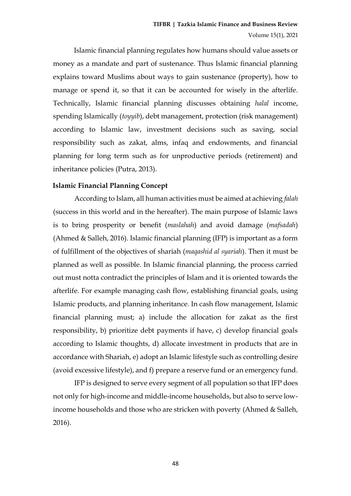Islamic financial planning regulates how humans should value assets or money as a mandate and part of sustenance. Thus Islamic financial planning explains toward Muslims about ways to gain sustenance (property), how to manage or spend it, so that it can be accounted for wisely in the afterlife. Technically, Islamic financial planning discusses obtaining *halal* income, spending Islamically (*toyyib*), debt management, protection (risk management) according to Islamic law, investment decisions such as saving, social responsibility such as zakat, alms, infaq and endowments, and financial planning for long term such as for unproductive periods (retirement) and inheritance policies (Putra, 2013).

#### **Islamic Financial Planning Concept**

According to Islam, all human activities must be aimed at achieving *falah* (success in this world and in the hereafter). The main purpose of Islamic laws is to bring prosperity or benefit (*maslahah*) and avoid damage (*mafsadah*) (Ahmed & Salleh, 2016). Islamic financial planning (IFP) is important as a form of fulfillment of the objectives of shariah (*maqashid al syariah*). Then it must be planned as well as possible. In Islamic financial planning, the process carried out must notta contradict the principles of Islam and it is oriented towards the afterlife. For example managing cash flow, establishing financial goals, using Islamic products, and planning inheritance. In cash flow management, Islamic financial planning must; a) include the allocation for zakat as the first responsibility, b) prioritize debt payments if have, c) develop financial goals according to Islamic thoughts, d) allocate investment in products that are in accordance with Shariah, e) adopt an Islamic lifestyle such as controlling desire (avoid excessive lifestyle), and f) prepare a reserve fund or an emergency fund.

IFP is designed to serve every segment of all population so that IFP does not only for high-income and middle-income households, but also to serve lowincome households and those who are stricken with poverty (Ahmed & Salleh, 2016).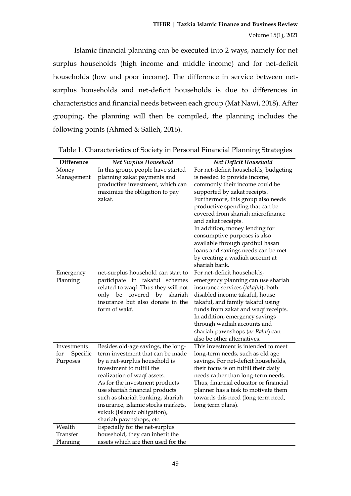Islamic financial planning can be executed into 2 ways, namely for net surplus households (high income and middle income) and for net-deficit households (low and poor income). The difference in service between netsurplus households and net-deficit households is due to differences in characteristics and financial needs between each group (Mat Nawi, 2018). After grouping, the planning will then be compiled, the planning includes the following points (Ahmed & Salleh, 2016).

| <b>Difference</b> | <b>Net Surplus Household</b>                                     | Net Deficit Household                                                       |
|-------------------|------------------------------------------------------------------|-----------------------------------------------------------------------------|
| Money             | In this group, people have started                               | For net-deficit households, budgeting                                       |
| Management        | planning zakat payments and                                      | is needed to provide income,                                                |
|                   | productive investment, which can                                 | commonly their income could be                                              |
|                   | maximize the obligation to pay                                   | supported by zakat receipts.                                                |
|                   | zakat.                                                           | Furthermore, this group also needs                                          |
|                   |                                                                  | productive spending that can be                                             |
|                   |                                                                  | covered from shariah microfinance                                           |
|                   |                                                                  | and zakat receipts.                                                         |
|                   |                                                                  | In addition, money lending for                                              |
|                   |                                                                  | consumptive purposes is also                                                |
|                   |                                                                  | available through qardhul hasan                                             |
|                   |                                                                  | loans and savings needs can be met                                          |
|                   |                                                                  | by creating a wadiah account at                                             |
|                   |                                                                  | shariah bank.                                                               |
| Emergency         | net-surplus household can start to                               | For net-deficit households,                                                 |
| Planning          | participate in takaful schemes                                   | emergency planning can use shariah                                          |
|                   | related to waqf. Thus they will not                              | insurance services (takaful), both                                          |
|                   | only be covered<br>by<br>shariah                                 | disabled income takaful, house                                              |
|                   | insurance but also donate in the                                 | takaful, and family takaful using                                           |
|                   | form of wakf.                                                    | funds from zakat and waqf receipts.                                         |
|                   |                                                                  | In addition, emergency savings                                              |
|                   |                                                                  | through wadiah accounts and                                                 |
|                   |                                                                  | shariah pawnshops (ar-Rahn) can                                             |
|                   |                                                                  | also be other alternatives.                                                 |
| Investments       | Besides old-age savings, the long-                               | This investment is intended to meet                                         |
| for<br>Specific   | term investment that can be made                                 | long-term needs, such as old age                                            |
| Purposes          | by a net-surplus household is                                    | savings. For net-deficit households,                                        |
|                   | investment to fulfill the                                        | their focus is on fulfill their daily                                       |
|                   | realization of waqf assets.                                      | needs rather than long-term needs.<br>Thus, financial educator or financial |
|                   | As for the investment products<br>use shariah financial products |                                                                             |
|                   | such as shariah banking, shariah                                 | planner has a task to motivate them<br>towards this need (long term need,   |
|                   | insurance, islamic stocks markets,                               | long term plans).                                                           |
|                   | sukuk (Islamic obligation),                                      |                                                                             |
|                   | shariah pawnshops, etc.                                          |                                                                             |
| Wealth            | Especially for the net-surplus                                   |                                                                             |
| Transfer          | household, they can inherit the                                  |                                                                             |
| Planning          | assets which are then used for the                               |                                                                             |
|                   |                                                                  |                                                                             |

Table 1. Characteristics of Society in Personal Financial Planning Strategies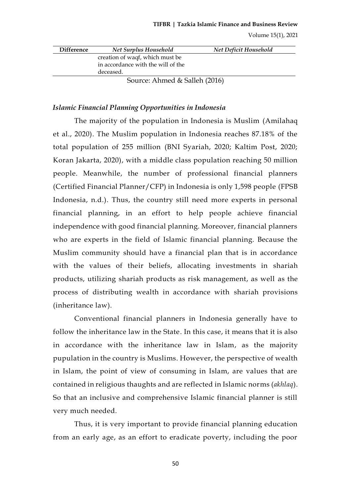| <b>Difference</b> | <b>Net Surplus Household</b>       | Net Deficit Household |
|-------------------|------------------------------------|-----------------------|
|                   | creation of waqf, which must be    |                       |
|                   | in accordance with the will of the |                       |
|                   | deceased.                          |                       |
|                   | Source: Ahmed & Salleh (2016)      |                       |

## *Islamic Financial Planning Opportunities in Indonesia*

The majority of the population in Indonesia is Muslim (Amilahaq et al., 2020). The Muslim population in Indonesia reaches 87.18% of the total population of 255 million (BNI Syariah, 2020; Kaltim Post, 2020; Koran Jakarta, 2020), with a middle class population reaching 50 million people. Meanwhile, the number of professional financial planners (Certified Financial Planner/CFP) in Indonesia is only 1,598 people (FPSB Indonesia, n.d.). Thus, the country still need more experts in personal financial planning, in an effort to help people achieve financial independence with good financial planning. Moreover, financial planners who are experts in the field of Islamic financial planning. Because the Muslim community should have a financial plan that is in accordance with the values of their beliefs, allocating investments in shariah products, utilizing shariah products as risk management, as well as the process of distributing wealth in accordance with shariah provisions (inheritance law).

Conventional financial planners in Indonesia generally have to follow the inheritance law in the State. In this case, it means that it is also in accordance with the inheritance law in Islam, as the majority pupulation in the country is Muslims. However, the perspective of wealth in Islam, the point of view of consuming in Islam, are values that are contained in religious thaughts and are reflected in Islamic norms (*akhlaq*). So that an inclusive and comprehensive Islamic financial planner is still very much needed.

Thus, it is very important to provide financial planning education from an early age, as an effort to eradicate poverty, including the poor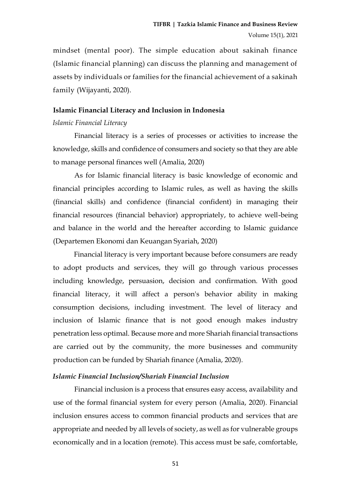mindset (mental poor). The simple education about sakinah finance (Islamic financial planning) can discuss the planning and management of assets by individuals or families for the financial achievement of a sakinah family (Wijayanti, 2020).

### **Islamic Financial Literacy and Inclusion in Indonesia**

## *Islamic Financial Literacy*

Financial literacy is a series of processes or activities to increase the knowledge, skills and confidence of consumers and society so that they are able to manage personal finances well (Amalia, 2020)

As for Islamic financial literacy is basic knowledge of economic and financial principles according to Islamic rules, as well as having the skills (financial skills) and confidence (financial confident) in managing their financial resources (financial behavior) appropriately, to achieve well-being and balance in the world and the hereafter according to Islamic guidance (Departemen Ekonomi dan Keuangan Syariah, 2020)

Financial literacy is very important because before consumers are ready to adopt products and services, they will go through various processes including knowledge, persuasion, decision and confirmation. With good financial literacy, it will affect a person's behavior ability in making consumption decisions, including investment. The level of literacy and inclusion of Islamic finance that is not good enough makes industry penetration less optimal. Because more and more Shariah financial transactions are carried out by the community, the more businesses and community production can be funded by Shariah finance (Amalia, 2020).

### *Islamic Financial Inclusion/Shariah Financial Inclusion*

Financial inclusion is a process that ensures easy access, availability and use of the formal financial system for every person (Amalia, 2020). Financial inclusion ensures access to common financial products and services that are appropriate and needed by all levels of society, as well as for vulnerable groups economically and in a location (remote). This access must be safe, comfortable,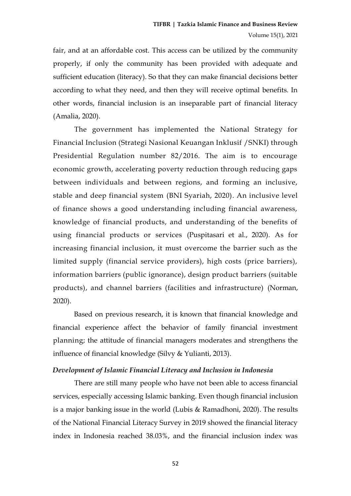fair, and at an affordable cost. This access can be utilized by the community properly, if only the community has been provided with adequate and sufficient education (literacy). So that they can make financial decisions better according to what they need, and then they will receive optimal benefits. In other words, financial inclusion is an inseparable part of financial literacy (Amalia, 2020).

The government has implemented the National Strategy for Financial Inclusion (Strategi Nasional Keuangan Inklusif /SNKI) through Presidential Regulation number 82/2016. The aim is to encourage economic growth, accelerating poverty reduction through reducing gaps between individuals and between regions, and forming an inclusive, stable and deep financial system (BNI Syariah, 2020). An inclusive level of finance shows a good understanding including financial awareness, knowledge of financial products, and understanding of the benefits of using financial products or services (Puspitasari et al., 2020). As for increasing financial inclusion, it must overcome the barrier such as the limited supply (financial service providers), high costs (price barriers), information barriers (public ignorance), design product barriers (suitable products), and channel barriers (facilities and infrastructure) (Norman, 2020).

Based on previous research, it is known that financial knowledge and financial experience affect the behavior of family financial investment planning; the attitude of financial managers moderates and strengthens the influence of financial knowledge (Silvy & Yulianti, 2013).

#### *Development of Islamic Financial Literacy and Inclusion in Indonesia*

There are still many people who have not been able to access financial services, especially accessing Islamic banking. Even though financial inclusion is a major banking issue in the world (Lubis & Ramadhoni, 2020). The results of the National Financial Literacy Survey in 2019 showed the financial literacy index in Indonesia reached 38.03%, and the financial inclusion index was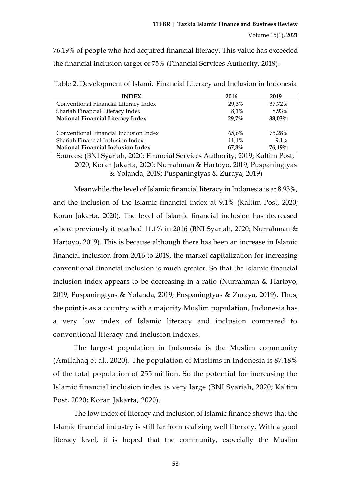76.19% of people who had acquired financial literacy. This value has exceeded the financial inclusion target of 75% (Financial Services Authority, 2019).

| <b>INDEX</b>                           | 2016     | 2019      |
|----------------------------------------|----------|-----------|
| Conventional Financial Literacy Index  | 29,3%    | 37,72%    |
| Shariah Financial Literacy Index       | 8,1%     | 8,93%     |
| National Financial Literacy Index      | $29,7\%$ | $38,03\%$ |
| Conventional Financial Inclusion Index | 65,6%    | 75.28%    |
| Shariah Financial Inclusion Index      | 11,1%    | 9,1%      |
| National Financial Inclusion Index     | 67,8%    | 76,19%    |

Table 2. Development of Islamic Financial Literacy and Inclusion in Indonesia

Sources: (BNI Syariah, 2020; Financial Services Authority, 2019; Kaltim Post, 2020; Koran Jakarta, 2020; Nurrahman & Hartoyo, 2019; Puspaningtyas & Yolanda, 2019; Puspaningtyas & Zuraya, 2019)

Meanwhile, the level of Islamic financial literacy in Indonesia is at 8.93%, and the inclusion of the Islamic financial index at 9.1% (Kaltim Post, 2020; Koran Jakarta, 2020). The level of Islamic financial inclusion has decreased where previously it reached 11.1% in 2016 (BNI Syariah, 2020; Nurrahman & Hartoyo, 2019). This is because although there has been an increase in Islamic financial inclusion from 2016 to 2019, the market capitalization for increasing conventional financial inclusion is much greater. So that the Islamic financial inclusion index appears to be decreasing in a ratio (Nurrahman & Hartoyo, 2019; Puspaningtyas & Yolanda, 2019; Puspaningtyas & Zuraya, 2019). Thus, the point is as a country with a majority Muslim population, Indonesia has a very low index of Islamic literacy and inclusion compared to conventional literacy and inclusion indexes.

The largest population in Indonesia is the Muslim community (Amilahaq et al., 2020). The population of Muslims in Indonesia is 87.18% of the total population of 255 million. So the potential for increasing the Islamic financial inclusion index is very large (BNI Syariah, 2020; Kaltim Post, 2020; Koran Jakarta, 2020).

The low index of literacy and inclusion of Islamic finance shows that the Islamic financial industry is still far from realizing well literacy. With a good literacy level, it is hoped that the community, especially the Muslim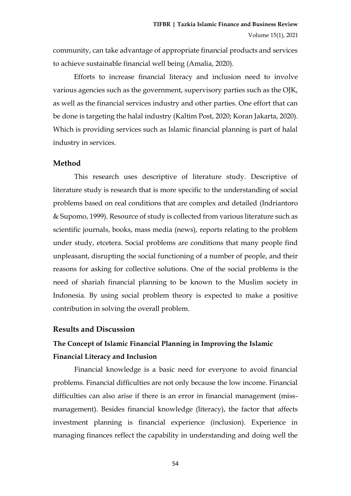community, can take advantage of appropriate financial products and services to achieve sustainable financial well being (Amalia, 2020).

Efforts to increase financial literacy and inclusion need to involve various agencies such as the government, supervisory parties such as the OJK, as well as the financial services industry and other parties. One effort that can be done is targeting the halal industry (Kaltim Post, 2020; Koran Jakarta, 2020). Which is providing services such as Islamic financial planning is part of halal industry in services.

#### **Method**

This research uses descriptive of literature study. Descriptive of literature study is research that is more specific to the understanding of social problems based on real conditions that are complex and detailed (Indriantoro & Supomo, 1999). Resource of study is collected from various literature such as scientific journals, books, mass media (news), reports relating to the problem under study, etcetera. Social problems are conditions that many people find unpleasant, disrupting the social functioning of a number of people, and their reasons for asking for collective solutions. One of the social problems is the need of shariah financial planning to be known to the Muslim society in Indonesia. By using social problem theory is expected to make a positive contribution in solving the overall problem.

#### **Results and Discussion**

# **The Concept of Islamic Financial Planning in Improving the Islamic Financial Literacy and Inclusion**

Financial knowledge is a basic need for everyone to avoid financial problems. Financial difficulties are not only because the low income. Financial difficulties can also arise if there is an error in financial management (missmanagement). Besides financial knowledge (literacy), the factor that affects investment planning is financial experience (inclusion). Experience in managing finances reflect the capability in understanding and doing well the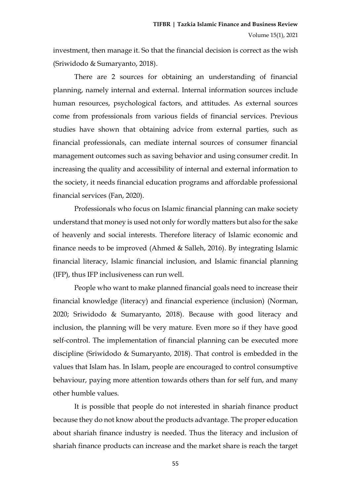investment, then manage it. So that the financial decision is correct as the wish (Sriwidodo & Sumaryanto, 2018).

There are 2 sources for obtaining an understanding of financial planning, namely internal and external. Internal information sources include human resources, psychological factors, and attitudes. As external sources come from professionals from various fields of financial services. Previous studies have shown that obtaining advice from external parties, such as financial professionals, can mediate internal sources of consumer financial management outcomes such as saving behavior and using consumer credit. In increasing the quality and accessibility of internal and external information to the society, it needs financial education programs and affordable professional financial services (Fan, 2020).

Professionals who focus on Islamic financial planning can make society understand that money is used not only for wordly matters but also for the sake of heavenly and social interests. Therefore literacy of Islamic economic and finance needs to be improved (Ahmed & Salleh, 2016). By integrating Islamic financial literacy, Islamic financial inclusion, and Islamic financial planning (IFP), thus IFP inclusiveness can run well.

People who want to make planned financial goals need to increase their financial knowledge (literacy) and financial experience (inclusion) (Norman, 2020; Sriwidodo & Sumaryanto, 2018). Because with good literacy and inclusion, the planning will be very mature. Even more so if they have good self-control. The implementation of financial planning can be executed more discipline (Sriwidodo & Sumaryanto, 2018). That control is embedded in the values that Islam has. In Islam, people are encouraged to control consumptive behaviour, paying more attention towards others than for self fun, and many other humble values.

It is possible that people do not interested in shariah finance product because they do not know about the products advantage. The proper education about shariah finance industry is needed. Thus the literacy and inclusion of shariah finance products can increase and the market share is reach the target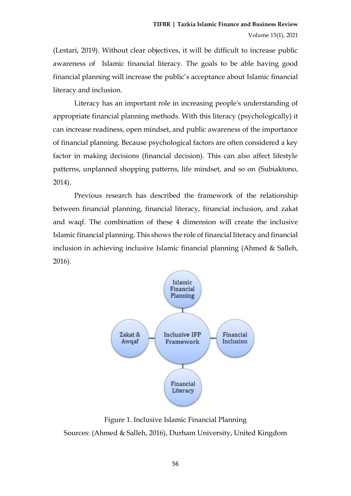(Lestari, 2019). Without clear objectives, it will be difficult to increase public awareness of Islamic financial literacy. The goals to be able having good financial planning will increase the public's acceptance about Islamic financial literacy and inclusion.

Literacy has an important role in increasing people's understanding of appropriate financial planning methods. With this literacy (psychologically) it can increase readiness, open mindset, and public awareness of the importance of financial planning. Because psychological factors are often considered a key factor in making decisions (financial decision). This can also affect lifestyle patterns, unplanned shopping patterns, life mindset, and so on (Subiaktono, 2014).

Previous research has described the framework of the relationship between financial planning, financial literacy, financial inclusion, and zakat and waqf. The combination of these 4 dimension will create the inclusive Islamic financial planning. This shows the role of financial literacy and financial inclusion in achieving inclusive Islamic financial planning (Ahmed & Salleh, 2016).



Figure 1. Inclusive Islamic Financial Planning Sources: (Ahmed & Salleh, 2016), Durham University, United Kingdom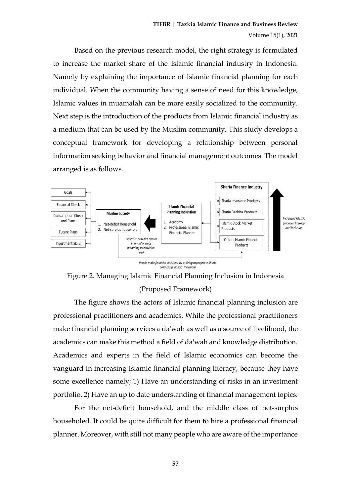Based on the previous research model, the right strategy is formulated to increase the market share of the Islamic financial industry in Indonesia. Namely by explaining the importance of Islamic financial planning for each individual. When the community having a sense of need for this knowledge, Islamic values in muamalah can be more easily socialized to the community. Next step is the introduction of the products from Islamic financial industry as a medium that can be used by the Muslim community. This study develops a conceptual framework for developing a relationship between personal information seeking behavior and financial management outcomes. The model arranged is as follows.





The figure shows the actors of Islamic financial planning inclusion are professional practitioners and academics. While the professional practitioners make financial planning services a da'wah as well as a source of livelihood, the academics can make this method a field of da'wah and knowledge distribution. Academics and experts in the field of Islamic economics can become the vanguard in increasing Islamic financial planning literacy, because they have some excellence namely; 1) Have an understanding of risks in an investment portfolio, 2) Have an up to date understanding of financial management topics.

For the net-deficit household, and the middle class of net-surplus householed. It could be quite difficult for them to hire a professional financial planner. Moreover, with still not many people who are aware of the importance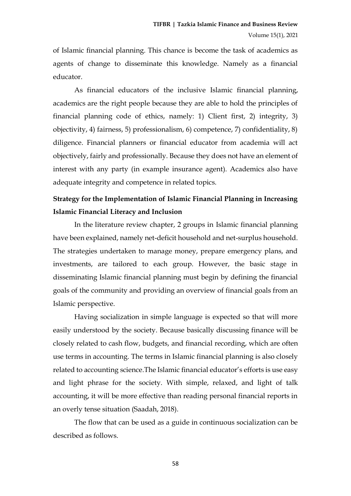of Islamic financial planning. This chance is become the task of academics as agents of change to disseminate this knowledge. Namely as a financial educator.

As financial educators of the inclusive Islamic financial planning, academics are the right people because they are able to hold the principles of financial planning code of ethics, namely: 1) Client first, 2) integrity, 3) objectivity, 4) fairness, 5) professionalism, 6) competence, 7) confidentiality, 8) diligence. Financial planners or financial educator from academia will act objectively, fairly and professionally. Because they does not have an element of interest with any party (in example insurance agent). Academics also have adequate integrity and competence in related topics.

## **Strategy for the Implementation of Islamic Financial Planning in Increasing Islamic Financial Literacy and Inclusion**

In the literature review chapter, 2 groups in Islamic financial planning have been explained, namely net-deficit household and net-surplus household. The strategies undertaken to manage money, prepare emergency plans, and investments, are tailored to each group. However, the basic stage in disseminating Islamic financial planning must begin by defining the financial goals of the community and providing an overview of financial goals from an Islamic perspective.

Having socialization in simple language is expected so that will more easily understood by the society. Because basically discussing finance will be closely related to cash flow, budgets, and financial recording, which are often use terms in accounting. The terms in Islamic financial planning is also closely related to accounting science.The Islamic financial educator's efforts is use easy and light phrase for the society. With simple, relaxed, and light of talk accounting, it will be more effective than reading personal financial reports in an overly tense situation (Saadah, 2018).

The flow that can be used as a guide in continuous socialization can be described as follows.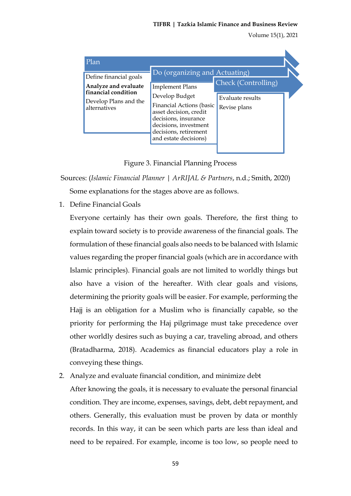| Plan                                                                                                           |                                                                                                                                                                                                                                    |                                                         |  |
|----------------------------------------------------------------------------------------------------------------|------------------------------------------------------------------------------------------------------------------------------------------------------------------------------------------------------------------------------------|---------------------------------------------------------|--|
| Define financial goals<br>Analyze and evaluate<br>financial condition<br>Develop Plans and the<br>alternatives | Do (organizing and Actuating)<br><b>Implement Plans</b><br>Develop Budget<br>Financial Actions (basic<br>asset decision, credit<br>decisions, insurance<br>decisions, investment<br>decisions, retirement<br>and estate decisions) | Check (Controlling)<br>Evaluate results<br>Revise plans |  |

Figure 3. Financial Planning Process

Sources: (*Islamic Financial Planner | ArRIJAL & Partners*, n.d.; Smith, 2020)

Some explanations for the stages above are as follows.

1. Define Financial Goals

Everyone certainly has their own goals. Therefore, the first thing to explain toward society is to provide awareness of the financial goals. The formulation of these financial goals also needs to be balanced with Islamic values regarding the proper financial goals (which are in accordance with Islamic principles). Financial goals are not limited to worldly things but also have a vision of the hereafter. With clear goals and visions, determining the priority goals will be easier. For example, performing the Hajj is an obligation for a Muslim who is financially capable, so the priority for performing the Haj pilgrimage must take precedence over other worldly desires such as buying a car, traveling abroad, and others (Bratadharma, 2018). Academics as financial educators play a role in conveying these things.

2. Analyze and evaluate financial condition, and minimize debt

After knowing the goals, it is necessary to evaluate the personal financial condition. They are income, expenses, savings, debt, debt repayment, and others. Generally, this evaluation must be proven by data or monthly records. In this way, it can be seen which parts are less than ideal and need to be repaired. For example, income is too low, so people need to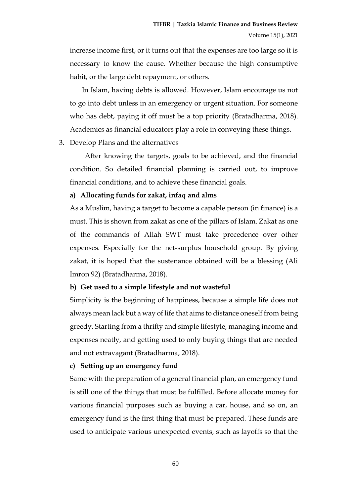increase income first, or it turns out that the expenses are too large so it is necessary to know the cause. Whether because the high consumptive habit, or the large debt repayment, or others.

In Islam, having debts is allowed. However, Islam encourage us not to go into debt unless in an emergency or urgent situation. For someone who has debt, paying it off must be a top priority (Bratadharma, 2018). Academics as financial educators play a role in conveying these things.

3. Develop Plans and the alternatives

After knowing the targets, goals to be achieved, and the financial condition. So detailed financial planning is carried out, to improve financial conditions, and to achieve these financial goals.

#### **a) Allocating funds for zakat, infaq and alms**

As a Muslim, having a target to become a capable person (in finance) is a must. This is shown from zakat as one of the pillars of Islam. Zakat as one of the commands of Allah SWT must take precedence over other expenses. Especially for the net-surplus household group. By giving zakat, it is hoped that the sustenance obtained will be a blessing (Ali Imron 92) (Bratadharma, 2018).

#### **b) Get used to a simple lifestyle and not wasteful**

Simplicity is the beginning of happiness, because a simple life does not always mean lack but a way of life that aims to distance oneself from being greedy. Starting from a thrifty and simple lifestyle, managing income and expenses neatly, and getting used to only buying things that are needed and not extravagant (Bratadharma, 2018).

#### **c) Setting up an emergency fund**

Same with the preparation of a general financial plan, an emergency fund is still one of the things that must be fulfilled. Before allocate money for various financial purposes such as buying a car, house, and so on, an emergency fund is the first thing that must be prepared. These funds are used to anticipate various unexpected events, such as layoffs so that the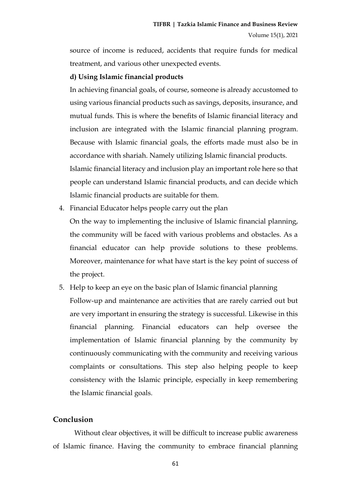source of income is reduced, accidents that require funds for medical treatment, and various other unexpected events.

#### **d) Using Islamic financial products**

In achieving financial goals, of course, someone is already accustomed to using various financial products such as savings, deposits, insurance, and mutual funds. This is where the benefits of Islamic financial literacy and inclusion are integrated with the Islamic financial planning program. Because with Islamic financial goals, the efforts made must also be in accordance with shariah. Namely utilizing Islamic financial products. Islamic financial literacy and inclusion play an important role here so that people can understand Islamic financial products, and can decide which

Islamic financial products are suitable for them.

4. Financial Educator helps people carry out the plan

On the way to implementing the inclusive of Islamic financial planning, the community will be faced with various problems and obstacles. As a financial educator can help provide solutions to these problems. Moreover, maintenance for what have start is the key point of success of the project.

5. Help to keep an eye on the basic plan of Islamic financial planning Follow-up and maintenance are activities that are rarely carried out but are very important in ensuring the strategy is successful. Likewise in this financial planning. Financial educators can help oversee the implementation of Islamic financial planning by the community by continuously communicating with the community and receiving various complaints or consultations. This step also helping people to keep consistency with the Islamic principle, especially in keep remembering the Islamic financial goals.

#### **Conclusion**

Without clear objectives, it will be difficult to increase public awareness of Islamic finance. Having the community to embrace financial planning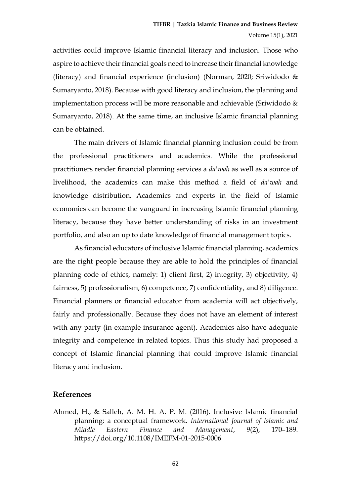activities could improve Islamic financial literacy and inclusion. Those who aspire to achieve their financial goals need to increase their financial knowledge (literacy) and financial experience (inclusion) (Norman, 2020; Sriwidodo & Sumaryanto, 2018). Because with good literacy and inclusion, the planning and implementation process will be more reasonable and achievable (Sriwidodo & Sumaryanto, 2018). At the same time, an inclusive Islamic financial planning can be obtained.

The main drivers of Islamic financial planning inclusion could be from the professional practitioners and academics. While the professional practitioners render financial planning services a *da'wah* as well as a source of livelihood, the academics can make this method a field of *da'wah* and knowledge distribution. Academics and experts in the field of Islamic economics can become the vanguard in increasing Islamic financial planning literacy, because they have better understanding of risks in an investment portfolio, and also an up to date knowledge of financial management topics.

As financial educators of inclusive Islamic financial planning, academics are the right people because they are able to hold the principles of financial planning code of ethics, namely: 1) client first, 2) integrity, 3) objectivity, 4) fairness, 5) professionalism, 6) competence, 7) confidentiality, and 8) diligence. Financial planners or financial educator from academia will act objectively, fairly and professionally. Because they does not have an element of interest with any party (in example insurance agent). Academics also have adequate integrity and competence in related topics. Thus this study had proposed a concept of Islamic financial planning that could improve Islamic financial literacy and inclusion.

#### **References**

Ahmed, H., & Salleh, A. M. H. A. P. M. (2016). Inclusive Islamic financial planning: a conceptual framework. *International Journal of Islamic and Middle Eastern Finance and Management*, *9*(2), 170–189. https://doi.org/10.1108/IMEFM-01-2015-0006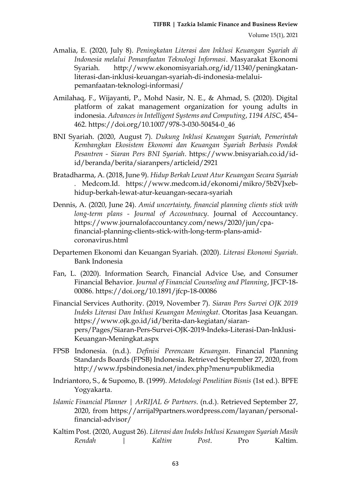- Amalia, E. (2020, July 8). *Peningkatan Literasi dan Inklusi Keuangan Syariah di Indonesia melalui Pemanfaatan Teknologi Informasi*. Masyarakat Ekonomi Syariah. http://www.ekonomisyariah.org/id/11340/peningkatanliterasi-dan-inklusi-keuangan-syariah-di-indonesia-melaluipemanfaatan-teknologi-informasi/
- Amilahaq, F., Wijayanti, P., Mohd Nasir, N. E., & Ahmad, S. (2020). Digital platform of zakat management organization for young adults in indonesia. *Advances in Intelligent Systems and Computing*, *1194 AISC*, 454– 462. https://doi.org/10.1007/978-3-030-50454-0\_46
- BNI Syariah. (2020, August 7). *Dukung Inklusi Keuangan Syariah, Pemerintah Kembangkan Ekosistem Ekonomi dan Keuangan Syariah Berbasis Pondok Pesantren - Siaran Pers BNI Syariah*. https://www.bnisyariah.co.id/idid/beranda/berita/siaranpers/articleid/2921
- Bratadharma, A. (2018, June 9). *Hidup Berkah Lewat Atur Keuangan Secara Syariah .* Medcom.Id. https://www.medcom.id/ekonomi/mikro/5b2VJxebhidup-berkah-lewat-atur-keuangan-secara-syariah
- Dennis, A. (2020, June 24). *Amid uncertainty, financial planning clients stick with long-term plans - Journal of Accountnacy*. Journal of Acccountancy. https://www.journalofaccountancy.com/news/2020/jun/cpafinancial-planning-clients-stick-with-long-term-plans-amidcoronavirus.html
- Departemen Ekonomi dan Keuangan Syariah. (2020). *Literasi Ekonomi Syariah*. Bank Indonesia
- Fan, L. (2020). Information Search, Financial Advice Use, and Consumer Financial Behavior. *Journal of Financial Counseling and Planning*, JFCP-18- 00086. https://doi.org/10.1891/jfcp-18-00086
- Financial Services Authority. (2019, November 7). *Siaran Pers Survei OJK 2019 Indeks Literasi Dan Inklusi Keuangan Meningkat*. Otoritas Jasa Keuangan. https://www.ojk.go.id/id/berita-dan-kegiatan/siaranpers/Pages/Siaran-Pers-Survei-OJK-2019-Indeks-Literasi-Dan-Inklusi-Keuangan-Meningkat.aspx
- FPSB Indonesia. (n.d.). *Definisi Perencaan Keuangan*. Financial Planning Standards Boards (FPSB) Indonesia. Retrieved September 27, 2020, from http://www.fpsbindonesia.net/index.php?menu=publikmedia
- Indriantoro, S., & Supomo, B. (1999). *Metodologi Penelitian Bisnis* (1st ed.). BPFE Yogyakarta.
- *Islamic Financial Planner | ArRIJAL & Partners*. (n.d.). Retrieved September 27, 2020, from https://arrijal9partners.wordpress.com/layanan/personalfinancial-advisor/
- Kaltim Post. (2020, August 26). *Literasi dan Indeks Inklusi Keuangan Syariah Masih Rendah | Kaltim Post*. Pro Kaltim.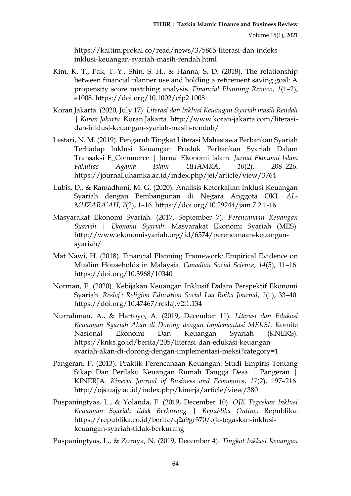https://kaltim.prokal.co/read/news/375865-literasi-dan-indeksinklusi-keuangan-syariah-masih-rendah.html

- Kim, K. T., Pak, T.-Y., Shin, S. H., & Hanna, S. D. (2018). The relationship between financial planner use and holding a retirement saving goal: A propensity score matching analysis. *Financial Planning Review*, *1*(1–2), e1008. https://doi.org/10.1002/cfp2.1008
- Koran Jakarta. (2020, July 17). *Literasi dan Inklusi Keuangan Syariah masih Rendah | Koran Jakarta*. Koran Jakarta. http://www.koran-jakarta.com/literasidan-inklusi-keuangan-syariah-masih-rendah/
- Lestari, N. M. (2019). Pengaruh Tingkat Literasi Mahasiswa Perbankan Syariah Terhadap Inklusi Keuangan Produk Perbankan Syariah Dalam Transaksi E\_Commerce | Jurnal Ekonomi Islam. *Jurnal Ekonomi Islam Fakultas Agama Islam UHAMKA*, *10*(2), 208–226. https://journal.uhamka.ac.id/index.php/jei/article/view/3764
- Lubis, D., & Ramadhoni, M. G. (2020). Analisis Keterkaitan Inklusi Keuangan Syariah dengan Pembangunan di Negara Anggota OKI. *AL-MUZARA'AH*, *7*(2), 1–16. https://doi.org/10.29244/jam.7.2.1-16
- Masyarakat Ekonomi Syariah. (2017, September 7). *Perencanaan Keuangan Syariah | Ekonomi Syariah*. Masyarakat Ekonomi Syariah (MES). http://www.ekonomisyariah.org/id/6574/perencanaan-keuangansyariah/
- Mat Nawi, H. (2018). Financial Planning Framework: Empirical Evidence on Muslim Households in Malaysia. *Canadian Social Science*, *14*(5), 11–16. https://doi.org/10.3968/10340
- Norman, E. (2020). Kebijakan Keuangan Inklusif Dalam Perspektif Ekonomi Syariah. *Reslaj : Religion Education Social Laa Roiba Journal*, *2*(1), 33–40. https://doi.org/10.47467/reslaj.v2i1.134
- Nurrahman, A., & Hartoyo, A. (2019, December 11). *Literasi dan Edukasi Keuangan Syariah Akan di Dorong dengan Implementasi MEKSI*. Komite Nasional Ekonomi Dan Keuangan Syariah (KNEKS). https://knks.go.id/berita/205/literasi-dan-edukasi-keuangansyariah-akan-di-dorong-dengan-implementasi-meksi?category=1
- Pangeran, P. (2013). Praktik Perencanaan Keuangan: Studi Empiris Tentang Sikap Dan Perilaku Keuangan Rumah Tangga Desa | Pangeran | KINERJA. *Kinerja Journal of Business and Economics*, *17*(2), 197–216. http://ojs.uajy.ac.id/index.php/kinerja/article/view/380
- Puspaningtyas, L., & Yolanda, F. (2019, December 10). *OJK Tegaskan Inklusi Keuangan Syariah tidak Berkurang | Republika Online*. Republika. https://republika.co.id/berita/q2a9gr370/ojk-tegaskan-inklusikeuangan-syariah-tidak-berkurang

Puspaningtyas, L., & Zuraya, N. (2019, December 4). *Tingkat Inklusi Keuangan*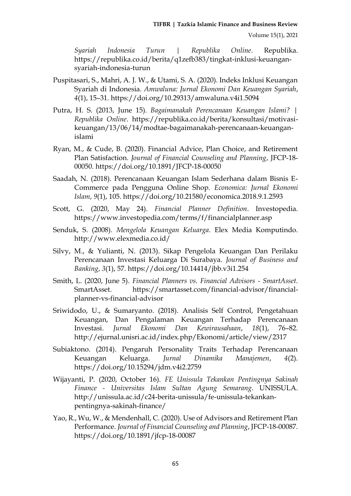*Syariah Indonesia Turun | Republika Online*. Republika. https://republika.co.id/berita/q1zefb383/tingkat-inklusi-keuangansyariah-indonesia-turun

- Puspitasari, S., Mahri, A. J. W., & Utami, S. A. (2020). Indeks Inklusi Keuangan Syariah di Indonesia. *Amwaluna: Jurnal Ekonomi Dan Keuangan Syariah*, *4*(1), 15–31. https://doi.org/10.29313/amwaluna.v4i1.5094
- Putra, H. S. (2013, June 15). *Bagaimanakah Perencanaan Keuangan Islami? | Republika Online*. https://republika.co.id/berita/konsultasi/motivasikeuangan/13/06/14/modtae-bagaimanakah-perencanaan-keuanganislami
- Ryan, M., & Cude, B. (2020). Financial Advice, Plan Choice, and Retirement Plan Satisfaction. *Journal of Financial Counseling and Planning*, JFCP-18- 00050. https://doi.org/10.1891/JFCP-18-00050
- Saadah, N. (2018). Perencanaan Keuangan Islam Sederhana dalam Bisnis E-Commerce pada Pengguna Online Shop. *Economica: Jurnal Ekonomi Islam*, *9*(1), 105. https://doi.org/10.21580/economica.2018.9.1.2593
- Scott, G. (2020, May 24). *Financial Planner Definition*. Investopedia. https://www.investopedia.com/terms/f/financialplanner.asp
- Senduk, S. (2008). *Mengelola Keuangan Keluarga*. Elex Media Komputindo. http://www.elexmedia.co.id/
- Silvy, M., & Yulianti, N. (2013). Sikap Pengelola Keuangan Dan Perilaku Perencanaan Investasi Keluarga Di Surabaya. *Journal of Business and Banking*, *3*(1), 57. https://doi.org/10.14414/jbb.v3i1.254
- Smith, L. (2020, June 5). *Financial Planners vs. Financial Advisors - SmartAsset*. SmartAsset. https://smartasset.com/financial-advisor/financialplanner-vs-financial-advisor
- Sriwidodo, U., & Sumaryanto. (2018). Analisis Self Control, Pengetahuan Keuangan, Dan Pengalaman Keuangan Terhadap Perencanaan Investasi. *Jurnal Ekonomi Dan Kewirausahaan*, *18*(1), 76–82. http://ejurnal.unisri.ac.id/index.php/Ekonomi/article/view/2317
- Subiaktono. (2014). Pengaruh Personality Traits Terhadap Perencanaan Keuangan Keluarga. *Jurnal Dinamika Manajemen*, *4*(2). https://doi.org/10.15294/jdm.v4i2.2759
- Wijayanti, P. (2020, October 16). *FE Unissula Tekankan Pentingnya Sakinah Finance - Universitas Islam Sultan Agung Semarang*. UNISSULA. http://unissula.ac.id/c24-berita-unissula/fe-unissula-tekankanpentingnya-sakinah-finance/
- Yao, R., Wu, W., & Mendenhall, C. (2020). Use of Advisors and Retirement Plan Performance. *Journal of Financial Counseling and Planning*, JFCP-18-00087. https://doi.org/10.1891/jfcp-18-00087